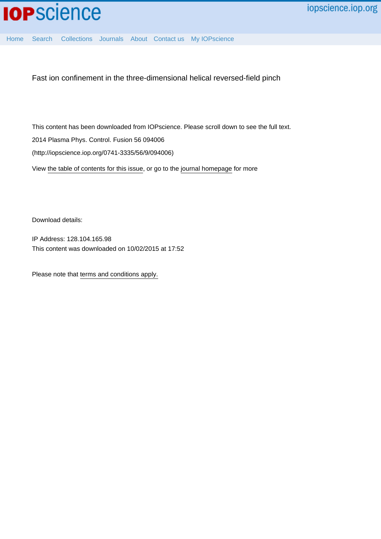

[Home](http://iopscience.iop.org/) [Search](http://iopscience.iop.org/search) [Collections](http://iopscience.iop.org/collections) [Journals](http://iopscience.iop.org/journals) [About](http://iopscience.iop.org/page/aboutioppublishing) [Contact us](http://iopscience.iop.org/contact) [My IOPscience](http://iopscience.iop.org/myiopscience)

Fast ion confinement in the three-dimensional helical reversed-field pinch

This content has been downloaded from IOPscience. Please scroll down to see the full text. View [the table of contents for this issue](http://iopscience.iop.org/0741-3335/56/9), or go to the [journal homepage](http://iopscience.iop.org/0741-3335) for more 2014 Plasma Phys. Control. Fusion 56 094006 (http://iopscience.iop.org/0741-3335/56/9/094006)

Download details:

IP Address: 128.104.165.98 This content was downloaded on 10/02/2015 at 17:52

Please note that [terms and conditions apply.](iopscience.iop.org/page/terms)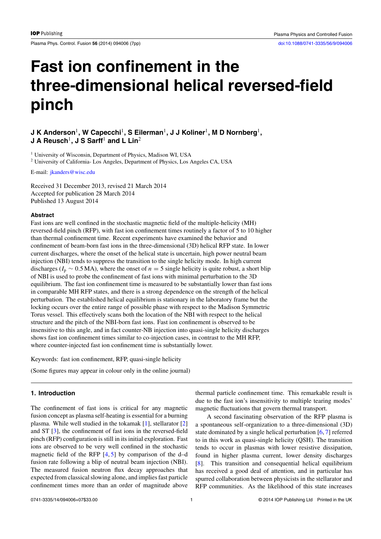Plasma Phys. Control. Fusion 56 (2014) 094006 (7pp) [doi:10.1088/0741-3335/56/9/094006](http://dx.doi.org/10.1088/0741-3335/56/9/094006)

# **Fast ion confinement in the three-dimensional helical reversed-field pinch**

# **J K Anderson<sup>1</sup>, W Capecchi<sup>1</sup>, S Eilerman<sup>1</sup>, J J Koliner<sup>1</sup>, M D Nornberg<sup>1</sup>, J A Reusch**1**, J S Sarff**<sup>1</sup> **and L Lin**<sup>2</sup>

<sup>1</sup> University of Wisconsin, Department of Physics, Madison WI, USA <sup>2</sup> University of California- Los Angeles, Department of Physics, Los Angeles CA, USA

E-mail: [jkanders@wisc.edu](mailto: jkanders@wisc.edu)

Received 31 December 2013, revised 21 March 2014 Accepted for publication 28 March 2014 Published 13 August 2014

#### **Abstract**

Fast ions are well confined in the stochastic magnetic field of the multiple-helicity (MH) reversed-field pinch (RFP), with fast ion confinement times routinely a factor of 5 to 10 higher than thermal confinement time. Recent experiments have examined the behavior and confinement of beam-born fast ions in the three-dimensional (3D) helical RFP state. In lower current discharges, where the onset of the helical state is uncertain, high power neutral beam injection (NBI) tends to suppress the transition to the single helicity mode. In high current discharges ( $I_p \sim 0.5$  MA), where the onset of  $n = 5$  single helicity is quite robust, a short blip of NBI is used to probe the confinement of fast ions with minimal perturbation to the 3D equilibrium. The fast ion confinement time is measured to be substantially lower than fast ions in comparable MH RFP states, and there is a strong dependence on the strength of the helical perturbation. The established helical equilibrium is stationary in the laboratory frame but the locking occurs over the entire range of possible phase with respect to the Madison Symmetric Torus vessel. This effectively scans both the location of the NBI with respect to the helical structure and the pitch of the NBI-born fast ions. Fast ion confinement is observed to be insensitive to this angle, and in fact counter-NB injection into quasi-single helicity discharges shows fast ion confinement times similar to co-injection cases, in contrast to the MH RFP, where counter-injected fast ion confinement time is substantially lower.

Keywords: fast ion confinement, RFP, quasi-single helicity

(Some figures may appear in colour only in the online journal)

## **1. Introduction**

The confinement of fast ions is critical for any magnetic fusion concept as plasma self-heating is essential for a burning plasma. While well studied in the tokamak [\[1\]](#page-6-0), stellarator [\[2\]](#page-6-0) and ST [\[3\]](#page-6-0), the confinement of fast ions in the reversed-field pinch (RFP) configuration is still in its initial exploration. Fast ions are observed to be very well confined in the stochastic magnetic field of the RFP  $[4, 5]$  $[4, 5]$  $[4, 5]$  by comparison of the d–d fusion rate following a blip of neutral beam injection (NBI). The measured fusion neutron flux decay approaches that expected from classical slowing alone, and implies fast particle confinement times more than an order of magnitude above thermal particle confinement time. This remarkable result is due to the fast ion's insensitivity to multiple tearing modes' magnetic fluctuations that govern thermal transport.

A second fascinating observation of the RFP plasma is a spontaneous self-organization to a three-dimensional (3D) state dominated by a single helical perturbation [\[6,](#page-6-0) [7\]](#page-6-0) referred to in this work as quasi-single helicity (QSH). The transition tends to occur in plasmas with lower resistive dissipation, found in higher plasma current, lower density discharges [\[8\]](#page-6-0). This transition and consequential helical equilibrium has received a good deal of attention, and in particular has spurred collaboration between physicists in the stellarator and RFP communities. As the likelihood of this state increases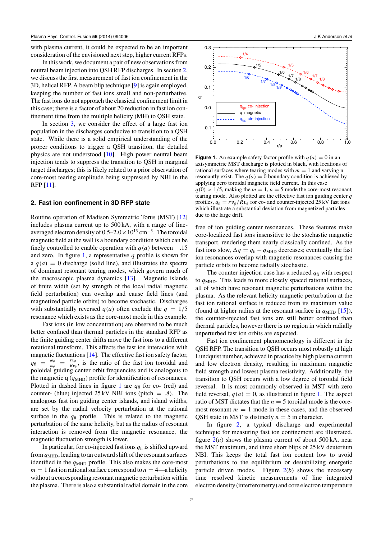with plasma current, it could be expected to be an important consideration of the envisioned next step, higher current RFPs.

In this work, we document a pair of new observations from neutral beam injection into QSH RFP discharges. In section 2, we discuss the first measurement of fast ion confinement in the 3D, helical RFP. A beam blip technique [\[9\]](#page-6-0) is again employed, keeping the number of fast ions small and non-perturbative. The fast ions do not approach the classical confinement limit in this case; there is a factor of about 20 reduction in fast ion confinement time from the multiple helicity (MH) to QSH state.

In section [3,](#page-5-0) we consider the effect of a large fast ion population in the discharges conducive to transition to a QSH state. While there is a solid empirical understanding of the proper conditions to trigger a QSH transition, the detailed physics are not understood [\[10\]](#page-7-0). High power neutral beam injection tends to suppress the transition to QSH in marginal target discharges; this is likely related to a prior observation of core-most tearing amplitude being suppressed by NBI in the RFP [\[11\]](#page-7-0).

#### **2. Fast ion confinement in 3D RFP state**

Routine operation of Madison Symmetric Torus (MST) [\[12\]](#page-7-0) includes plasma current up to 500 kA, with a range of lineaveraged electron density of  $0.5-2.0\times10^{13}$  cm<sup>-3</sup>. The toroidal magnetic field at the wall is a boundary condition which can be finely controlled to enable operation with  $q(a)$  between  $-.15$ and zero. In figure 1, a representative *q* profile is shown for a  $q(a) = 0$  discharge (solid line), and illustrates the spectra of dominant resonant tearing modes, which govern much of the macroscopic plasma dynamics [\[13\]](#page-7-0). Magnetic islands of finite width (set by strength of the local radial magnetic field perturbation) can overlap and cause field lines (and magnetized particle orbits) to become stochastic. Discharges with substantially reversed  $q(a)$  often exclude the  $q = 1/5$ resonance which exists as the core-most mode in this example.

Fast ions (in low concentration) are observed to be much better confined than thermal particles in the standard RFP as the finite guiding center drifts move the fast ions to a different rotational transform. This affects the fast ion interaction with magnetic fluctuations [\[14\]](#page-7-0). The effective fast ion safety factor,  $q_{\rm fi} = \frac{\omega_\phi}{\omega_\theta} = \frac{rv_\phi}{Rv_\theta}$ , is the ratio of the fast ion toroidal and poloidal guiding center orbit frequencies and is analogous to the magnetic q ( $q<sub>MHD</sub>$ ) profile for identification of resonances. Plotted in dashed lines in figure 1 are  $q<sub>fi</sub>$  for co- (red) and counter- (blue) injected 25 kV NBI ions (pitch = *.*8). The analogous fast ion guiding center islands, and island widths, are set by the radial velocity perturbation at the rational surface in the  $q<sub>fi</sub>$  profile. This is related to the magnetic perturbation of the same helicity, but as the radius of resonant interaction is removed from the magnetic resonance, the magnetic fluctuation strength is lower.

In particular, for co-injected fast ions  $q<sub>fi</sub>$  is shifted upward from *q*MHD, leading to an outward shift of the resonant surfaces identified in the  $q<sub>MHD</sub>$  profile. This also makes the core-most  $m = 1$  fast ion rational surface correspond to  $n = 4$ —a helicity without a corresponding resonant magnetic perturbation within the plasma. There is also a substantial radial domain in the core



**Figure 1.** An example safety factor profile with  $q(a) = 0$  in an axisymmetric MST discharge is plotted in black, with locations of rational surfaces where tearing modes with  $m = 1$  and varying n resonantly exist. The  $q(a) = 0$  boundary condition is achieved by applying zero toroidal magnetic field current. In this case  $q(0) > 1/5$ , making the  $m = 1$ ,  $n = 5$  mode the core-most resonant tearing mode. Also plotted are the effective fast ion guiding center *q* profiles,  $q_{\rm fi} = r v_{\phi}/R v_{\theta}$  for co- and counter-injected 25 kV fast ions which illustrate a substantial deviation from magnetized particles due to the large drift.

free of ion guiding center resonances. These features make core-localized fast ions insensitive to the stochastic magnetic transport, rendering them nearly classically confined. As the fast ions slow,  $\Delta q = q_f - q_{\text{MHD}}$  decreases; eventually the fast ion resonances overlap with magnetic resonances causing the particle orbits to become radially stochastic.

The counter injection case has a reduced  $q<sub>fi</sub>$  with respect to *q*MHD. This leads to more closely spaced rational surfaces, all of which have resonant magnetic perturbations within the plasma. As the relevant helicity magnetic perturbation at the fast ion rational surface is reduced from its maximum value (found at higher radius at the resonant surface in  $q<sub>MHD</sub>$  [\[15\]](#page-7-0)), the counter-injected fast ions are still better confined than thermal particles, however there is no region in which radially unperturbed fast ion orbits are expected.

Fast ion confinement phenomenology is different in the QSH RFP. The transition to QSH occurs most robustly at high Lundquist number, achieved in practice by high plasma current and low electron density, resulting in maximum magnetic field strength and lowest plasma resistivity. Additionally, the transition to QSH occurs with a low degree of toroidal field reversal. It is most commonly observed in MST with zero field reversal,  $q(a) = 0$ , as illustrated in figure 1. The aspect ratio of MST dictates that the  $n = 5$  toroidal mode is the coremost resonant  $m = 1$  mode in these cases, and the observed QSH state in MST is distinctly  $n = 5$  in character.

In figure [2,](#page-3-0) a typical discharge and experimental technique for measuring fast ion confinement are illustrated. figure  $2(a)$  $2(a)$  shows the plasma current of about 500 kA, near the MST maximum, and three short blips of 25 kV deuterium NBI. This keeps the total fast ion content low to avoid perturbations to the equilibrium or destabilizing energetic particle driven modes. Figure  $2(b)$  $2(b)$  shows the necessary time resolved kinetic measurements of line integrated electron density (interferometry) and core electron temperature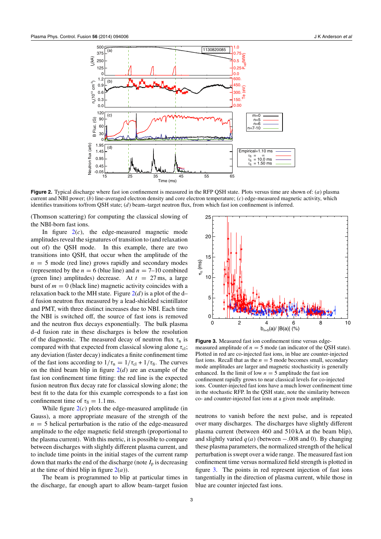<span id="page-3-0"></span>

**Figure 2.** Typical discharge where fast ion confinement is measured in the RFP QSH state. Plots versus time are shown of: (*a*) plasma current and NBI power; (*b*) line-averaged electron density and core electron temperature; (*c*) edge-measured magnetic activity, which identifies transitions to/from QSH state; (*d*) beam–target neutron flux, from which fast ion confinement is inferred.

(Thomson scattering) for computing the classical slowing of the NBI-born fast ions.

In figure  $2(c)$ , the edge-measured magnetic mode amplitudes reveal the signatures of transition to (and relaxation out of) the QSH mode. In this example, there are two transitions into QSH, that occur when the amplitude of the  $n = 5$  mode (red line) grows rapidly and secondary modes (represented by the  $n = 6$  (blue line) and  $n = 7-10$  combined (green line) amplitudes) decrease. At  $t = 27$  ms, a large burst of  $m = 0$  (black line) magnetic activity coincides with a relaxation back to the MH state. Figure  $2(d)$  is a plot of the d– d fusion neutron flux measured by a lead-shielded scintillator and PMT, with three distinct increases due to NBI. Each time the NBI is switched off, the source of fast ions is removed and the neutron flux decays exponentially. The bulk plasma d–d fusion rate in these discharges is below the resolution of the diagnostic. The measured decay of neutron flux  $\tau_n$  is compared with that expected from classical slowing alone  $\tau_{\text{cl}}$ ; any deviation (faster decay) indicates a finite confinement time of the fast ions according to  $1/\tau_n = 1/\tau_{cl} + 1/\tau_{fi}$ . The curves on the third beam blip in figure  $2(d)$  are an example of the fast ion confinement time fitting: the red line is the expected fusion neutron flux decay rate for classical slowing alone; the best fit to the data for this example corresponds to a fast ion confinement time of  $\tau_{\text{fi}} = 1.1 \text{ ms.}$ 

While figure 2(*c*) plots the edge-measured amplitude (in Gauss), a more appropriate measure of the strength of the  $n = 5$  helical perturbation is the ratio of the edge-measured amplitude to the edge magnetic field strength (proportional to the plasma current). With this metric, it is possible to compare between discharges with slightly different plasma current, and to include time points in the initial stages of the current ramp down that marks the end of the discharge (note  $I_p$  is decreasing at the time of third blip in figure  $2(a)$ ).

The beam is programmed to blip at particular times in the discharge, far enough apart to allow beam–target fusion



**Figure 3.** Measured fast ion confinement time versus edgemeasured amplitude of  $n = 5$  mode (an indicator of the QSH state). Plotted in red are co-injected fast ions, in blue are counter-injected fast ions. Recall that as the  $n = 5$  mode becomes small, secondary mode amplitudes are larger and magnetic stochasticity is generally enhanced. In the limit of low  $n = 5$  amplitude the fast ion confinement rapidly grows to near classical levels for co-injected ions. Counter-injected fast ions have a much lower confinement time in the stochastic RFP. In the QSH state, note the similarity between co- and counter-injected fast ions at a given mode amplitude.

neutrons to vanish before the next pulse, and is repeated over many discharges. The discharges have slightly different plasma current (between 460 and 510 kA at the beam blip), and slightly varied  $q(a)$  (between  $-.008$  and 0). By changing these plasma parameters, the normalized strength of the helical perturbation is swept over a wide range. The measured fast ion confinement time versus normalized field strength is plotted in figure 3. The points in red represent injection of fast ions tangentially in the direction of plasma current, while those in blue are counter injected fast ions.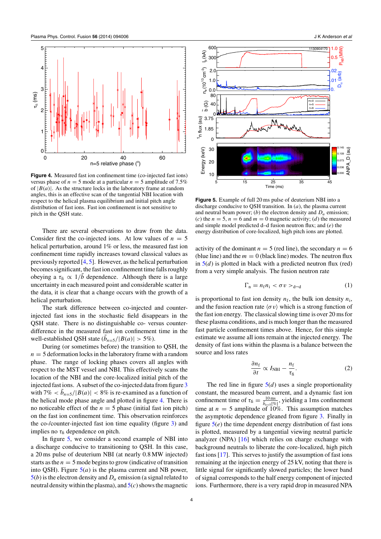<span id="page-4-0"></span>

**Figure 4.** Measured fast ion confinement time (co-injected fast ions) versus phase of  $n = 5$  mode at a particular  $n = 5$  amplitude of 7.5% of  $|B(a)|$ . As the structure locks in the laboratory frame at random angles, this is an effective scan of the tangential NBI location with respect to the helical plasma equilibrium and initial pitch angle distribution of fast ions. Fast ion confinement is not sensitive to pitch in the QSH state.

There are several observations to draw from the data. Consider first the co-injected ions. At low values of  $n = 5$ helical perturbation, around 1% or less, the measured fast ion confinement time rapidly increases toward classical values as previously reported [\[4,](#page-6-0) [5\]](#page-6-0). However, as the helical perturbation becomes significant, the fast ion confinement time falls roughly obeying a  $\tau_{\rm fi} \propto 1/\tilde{b}$  dependence. Although there is a large uncertainty in each measured point and considerable scatter in the data, it is clear that a change occurs with the growth of a helical perturbation.

The stark difference between co-injected and counterinjected fast ions in the stochastic field disappears in the QSH state. There is no distinguishable co- versus counterdifference in the measured fast ion confinement time in the well-established QSH state  $(b_{n=5}/|B(a)| > 5\%)$ .

During (or sometimes before) the transition to QSH, the  $n = 5$  deformation locks in the laboratory frame with a random phase. The range of locking phases covers all angles with respect to the MST vessel and NBI. This effectively scans the location of the NBI and the core-localized initial pitch of the injected fast ions. A subset of the co-injected data from figure [3](#page-3-0) with  $7\% < b_{n=5}/|B(a)| < 8\%$  is re-examined as a function of the helical mode phase angle and plotted in figure 4. There is no noticeable effect of the  $n = 5$  phase (initial fast ion pitch) on the fast ion confinement time. This observation reinforces the co-/counter-injected fast ion time equality (figure [3\)](#page-3-0) and implies no  $\tau_{\text{fi}}$  dependence on pitch.

In figure 5, we consider a second example of NBI into a discharge conducive to transitioning to QSH. In this case, a 20 ms pulse of deuterium NBI (at nearly 0.8 MW injected) starts as the  $n = 5$  mode begins to grow (indicative of transition into QSH). Figure  $5(a)$  is the plasma current and NB power,  $5(b)$  is the electron density and  $D_\alpha$  emission (a signal related to neutral density within the plasma), and 5(*c*) shows the magnetic



**Figure 5.** Example of full 20 ms pulse of deuterium NBI into a discharge conducive to QSH transition. In (*a*), the plasma current and neutral beam power; (*b*) the electron density and  $D_{\alpha}$  emission; (*c*) the  $n = 5$ ,  $n = 6$  and  $m = 0$  magnetic activity; (*d*) the measured and simple model predicted d–d fusion neutron flux; and (*e*) the energy distribution of core-localized, high pitch ions are plotted.

activity of the dominant  $n = 5$  (red line), the secondary  $n = 6$ (blue line) and the  $m = 0$  (black line) modes. The neutron flux in  $5(d)$  is plotted in black with a predicted neutron flux (red) from a very simple analysis. The fusion neutron rate

$$
\Gamma_{\rm n} = n_{\rm f} n_{\rm i} < \sigma v >_{\rm d-d} \tag{1}
$$

is proportional to fast ion density  $n_f$ , the bulk ion density  $n_i$ , and the fusion reaction rate  $\langle \sigma v \rangle$  which is a strong function of the fast ion energy. The classical slowing time is over 20 ms for these plasma conditions, and is much longer than the measured fast particle confinement times above. Hence, for this simple estimate we assume all ions remain at the injected energy. The density of fast ions within the plasma is a balance between the source and loss rates

$$
\frac{\partial n_{\rm f}}{\partial t} \propto I_{\rm NBI} - \frac{n_{\rm f}}{\tau_{\rm fi}}.\tag{2}
$$

The red line in figure  $5(d)$  uses a single proportionality constant, the measured beam current, and a dynamic fast ion confinement time of  $\tau_{\text{fi}} = \frac{10 \text{ ms}}{\bar{b}_{n=5}[\%]}$ , yielding a 1ms confinement time at  $n = 5$  amplitude of 10%. This assumption matches the asymptotic dependence gleaned from figure [3.](#page-3-0) Finally in figure 5(*e*) the time dependent energy distribution of fast ions is plotted, measured by a tangential viewing neutral particle analyzer (NPA) [\[16\]](#page-7-0) which relies on charge exchange with background neutrals to liberate the core-localized, high pitch fast ions [\[17\]](#page-7-0). This serves to justify the assumption of fast ions remaining at the injection energy of 25 kV, noting that there is little signal for significantly slowed particles; the lower band of signal corresponds to the half energy component of injected ions. Furthermore, there is a very rapid drop in measured NPA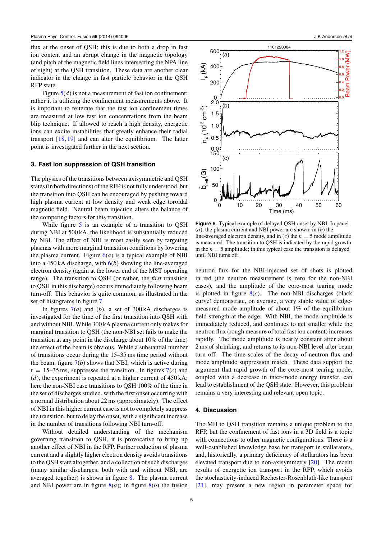<span id="page-5-0"></span>flux at the onset of QSH; this is due to both a drop in fast ion content and an abrupt change in the magnetic topology (and pitch of the magnetic field lines intersecting the NPA line of sight) at the QSH transition. These data are another clear indicator in the change in fast particle behavior in the QSH RFP state.

Figure  $5(d)$  $5(d)$  is not a measurement of fast ion confinement; rather it is utilizing the confinement measurements above. It is important to reiterate that the fast ion confinement times are measured at low fast ion concentrations from the beam blip technique. If allowed to reach a high density, energetic ions can excite instabilities that greatly enhance their radial transport [\[18,](#page-7-0) [19\]](#page-7-0) and can alter the equilibrium. The latter point is investigated further in the next section.

#### **3. Fast ion suppression of QSH transition**

The physics of the transitions between axisymmetric and QSH states (in both directions) of the RFP is not fully understood, but the transition into QSH can be encouraged by pushing toward high plasma current at low density and weak edge toroidal magnetic field. Neutral beam injection alters the balance of the competing factors for this transition.

While figure [5](#page-4-0) is an example of a transition to QSH during NBI at 500 kA, the likelihood is substantially reduced by NBI. The effect of NBI is most easily seen by targeting plasmas with more marginal transition conditions by lowering the plasma current. Figure  $6(a)$  is a typical example of NBI into a 450 kA discharge, with 6(*b*) showing the line-averaged electron density (again at the lower end of the MST operating range). The transition to QSH (or rather, the *first* transition to QSH in this discharge) occurs immediately following beam turn-off. This behavior is quite common, as illustrated in the set of histograms in figure [7.](#page-6-0)

In figures  $7(a)$  $7(a)$  and (*b*), a set of 300 kA discharges is investigated for the time of the first transition into QSH with and without NBI. While 300 kA plasma current only makes for marginal transition to QSH (the non-NBI set fails to make the transition at any point in the discharge about 10% of the time) the effect of the beam is obvious. While a substantial number of transitions occur during the 15–35 ms time period without the beam, figure  $7(b)$  $7(b)$  shows that NBI, which is active during  $t = 15-35$  ms, suppresses the transition. In figures  $7(c)$  $7(c)$  and (*d*), the experiment is repeated at a higher current of 450 kA; here the non-NBI case transitions to QSH 100% of the time in the set of discharges studied, with the first onset occurring with a normal distribution about 22 ms (approximately). The effect of NBI in this higher current case is not to completely suppress the transition, but to delay the onset, with a significant increase in the number of transitions following NBI turn-off.

Without detailed understanding of the mechanism governing transition to QSH, it is provocative to bring up another effect of NBI in the RFP. Further reduction of plasma current and a slightly higher electron density avoids transitions to the QSH state altogether, and a collection of such discharges (many similar discharges, both with and without NBI, are averaged together) is shown in figure [8.](#page-6-0) The plasma current and NBI power are in figure  $8(a)$  $8(a)$ ; in figure  $8(b)$  the fusion



**Figure 6.** Typical example of delayed QSH onset by NBI. In panel (*a*), the plasma current and NBI power are shown; in (*b*) the line-averaged electron density, and in  $(c)$  the  $n = 5$  mode amplitude is measured. The transition to QSH is indicated by the rapid growth in the  $n = 5$  amplitude; in this typical case the transition is delayed until NBI turns off.

neutron flux for the NBI-injected set of shots is plotted in red (the neutron measurement is zero for the non-NBI cases), and the amplitude of the core-most tearing mode is plotted in figure  $8(c)$  $8(c)$ . The non-NBI discharges (black curve) demonstrate, on average, a very stable value of edgemeasured mode amplitude of about 1% of the equilibrium field strength at the edge. With NBI, the mode amplitude is immediately reduced, and continues to get smaller while the neutron flux (rough measure of total fast ion content) increases rapidly. The mode amplitude is nearly constant after about 2 ms of shrinking, and returns to its non-NBI level after beam turn off. The time scales of the decay of neutron flux and mode amplitude suppression match. These data support the argument that rapid growth of the core-most tearing mode, coupled with a decrease in inter-mode energy transfer, can lead to establishment of the QSH state. However, this problem remains a very interesting and relevant open topic.

#### **4. Discussion**

The MH to QSH transition remains a unique problem to the RFP, but the confinement of fast ions in a 3D field is a topic with connections to other magnetic configurations. There is a well-established knowledge base for transport in stellarators, and, historically, a primary deficiency of stellarators has been elevated transport due to non-axisymmetry [\[20\]](#page-7-0). The recent results of energetic ion transport in the RFP, which avoids the stochasticity-induced Rechester-Rosenbluth-like transport [\[21\]](#page-7-0), may present a new region in parameter space for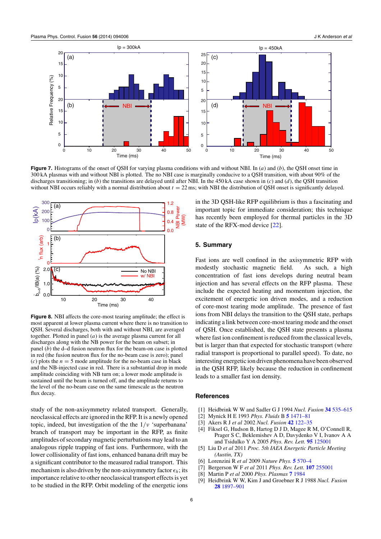<span id="page-6-0"></span>

**Figure 7.** Histograms of the onset of QSH for varying plasma conditions with and without NBI. In (*a*) and (*b*), the QSH onset time in 300 kA plasmas with and without NBI is plotted. The no NBI case is marginally conducive to a QSH transition, with about 90% of the discharges transitioning; in (*b*) the transitions are delayed until after NBI. In the 450 kA case shown in (*c*) and (*d*), the QSH transition without NBI occurs reliably with a normal distribution about  $t = 22$  ms; with NBI the distribution of QSH onset is significantly delayed.



**Figure 8.** NBI affects the core-most tearing amplitude; the effect is most apparent at lower plasma current where there is no transition to QSH. Several discharges, both with and without NBI, are averaged together. Plotted in panel (*a*) is the average plasma current for all discharges along with the NB power for the beam on subset; in panel (*b*) the d–d fusion neutron flux for the beam-on case is plotted in red (the fusion neutron flux for the no-beam case is zero); panel (*c*) plots the  $n = 5$  mode amplitude for the no-beam case in black and the NB-injected case in red. There is a substantial drop in mode amplitude coinciding with NB turn on; a lower mode amplitude is sustained until the beam is turned off, and the amplitude returns to the level of the no-beam case on the same timescale as the neutron flux decay.

study of the non-axisymmetry related transport. Generally, neoclassical effects are ignored in the RFP. It is a newly opened topic, indeed, but investigation of the the 1*/ν* 'superbanana' branch of transport may be important in the RFP, as finite amplitudes of secondary magnetic perturbations may lead to an analogous ripple trapping of fast ions. Furthermore, with the lower collisionality of fast ions, enhanced banana drift may be a significant contributor to the measured radial transport. This mechanism is also driven by the non-axisymmetry factor  $\epsilon_h$ ; its importance relative to other neoclassical transport effects is yet to be studied in the RFP. Orbit modeling of the energetic ions in the 3D QSH-like RFP equilibrium is thus a fascinating and important topic for immediate consideration; this technique has recently been employed for thermal particles in the 3D state of the RFX-mod device [\[22\]](#page-7-0).

## **5. Summary**

Fast ions are well confined in the axisymmetric RFP with modestly stochastic magnetic field. As such, a high concentration of fast ions develops during neutral beam injection and has several effects on the RFP plasma. These include the expected heating and momentum injection, the excitement of energetic ion driven modes, and a reduction of core-most tearing mode amplitude. The presence of fast ions from NBI delays the transition to the QSH state, perhaps indicating a link between core-most tearing mode and the onset of QSH. Once established, the QSH state presents a plasma where fast ion confinement is reduced from the classical levels, but is larger than that expected for stochastic transport (where radial transport is proportional to parallel speed). To date, no interesting energetic ion driven phenomena have been observed in the QSH RFP, likely because the reduction in confinement leads to a smaller fast ion density.

#### **References**

- [1] Heidbrink W W and Sadler G J 1994 *Nucl. Fusion* **34** [535–615](http://dx.doi.org/10.1088/0029-5515/34/4/I07)
- [2] Mynick H E 1993 *Phys. Fluids* B **5** [1471–81](http://dx.doi.org/10.1063/1.860886)
- [3] Akers R J *et al* 2002 *Nucl. Fusion* **42** [122–35](http://dx.doi.org/10.1088/0029-5515/42/2/302)
- [4] Fiksel G, Hudson B, Hartog D J D, Magee R M, O'Connell R, Prager S C, Beklemishev A D, Davydenko V I, Ivanov A A and Tsidulko Y A 2005 *Phys. Rev. Lett.* **95** [125001](http://dx.doi.org/10.1103/PhysRevLett.95.125001)
- [5] Liu D *et al* 2011 *Proc. 5th IAEA Energetic Particle Meeting (Austin, TX)*
- [6] Lorenzini R *et al* 2009 *Nature Phys.* **5** [570–4](http://dx.doi.org/10.1038/nphys1308)
- [7] Bergerson W F *et al* 2011 *Phys. Rev. Lett.* **107** [255001](http://dx.doi.org/10.1103/PhysRevLett.107.255001)
- [8] Martin P *et al* 2000 *Phys. Plasmas* **7** [1984](http://dx.doi.org/10.1063/1.874054)
- [9] Heidbrink W W, Kim J and Groebner R J 1988 *Nucl. Fusion* **28** [1897–901](http://dx.doi.org/10.1088/0029-5515/28/10/018)